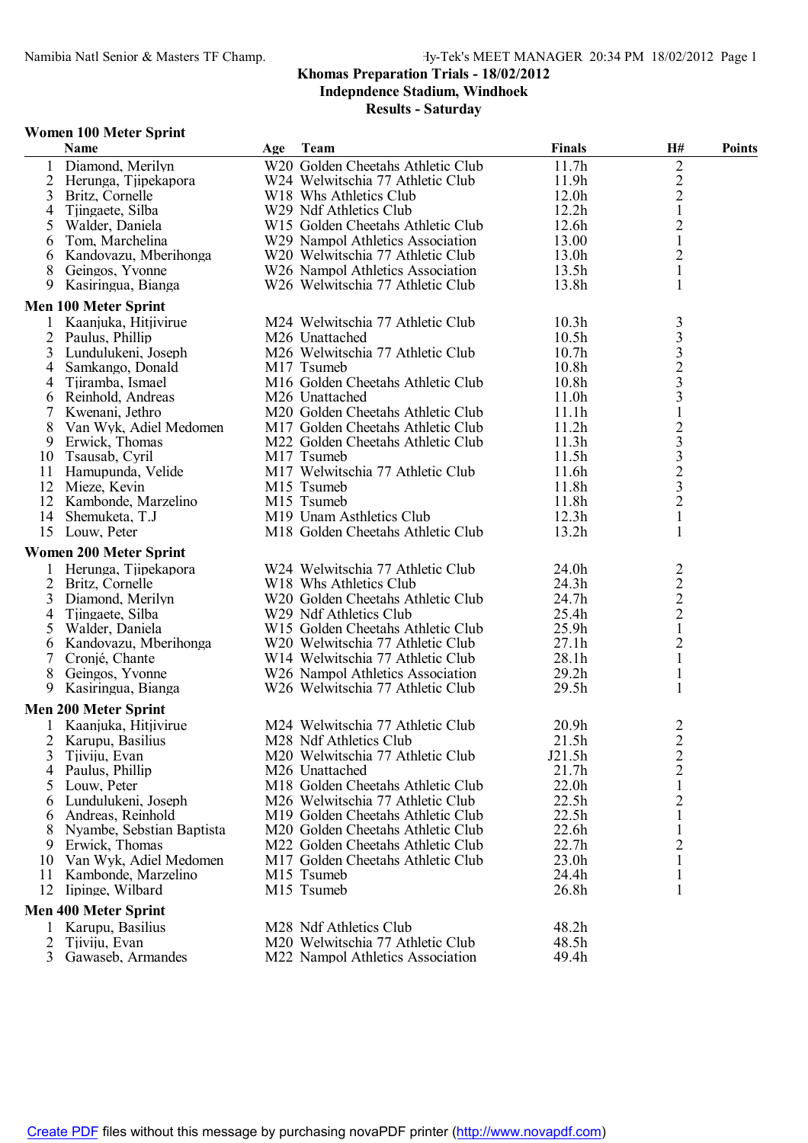### **Khomas Preparation Trials - 18/02/2012**

**Indepndence Stadium, Windhoek**

**Results - Saturday**

#### **Women 100 Meter Sprint**

|                 | н ошен тоо нтеген эргин<br>Name      | Age Team                                                             | <b>Finals</b>                          | <b>H#</b>                                            | <b>Points</b> |
|-----------------|--------------------------------------|----------------------------------------------------------------------|----------------------------------------|------------------------------------------------------|---------------|
|                 | 1 Diamond, Merilyn                   | W20 Golden Cheetahs Athletic Club                                    | 11.7h                                  | 2                                                    |               |
|                 | 2 Herunga, Tiipekapora               | W24 Welwitschia 77 Athletic Club                                     | 11.9 <sub>h</sub>                      |                                                      |               |
| 3               | Britz, Cornelle                      | W <sub>18</sub> Whs Athletics Club                                   | 12.0 <sub>h</sub>                      | $\frac{2}{2}$                                        |               |
| 4               | Tiingaete, Silba                     | W29 Ndf Athletics Club                                               | 12.2h                                  | $\mathbf{1}$                                         |               |
| 5               | Walder, Daniela                      | W15 Golden Cheetahs Athletic Club                                    | 12.6 <sub>h</sub>                      | $\overline{c}$                                       |               |
| 6               | Tom, Marchelina                      | W29 Nampol Athletics Association                                     | 13.00                                  | $\mathbf{1}$                                         |               |
| 6               | Kandovazu, Mberihonga                | W20 Welwitschia 77 Athletic Club                                     | 13.0 <sub>h</sub>                      | $\overline{2}$                                       |               |
| 8               | Geingos, Yvonne                      | W26 Nampol Athletics Association                                     | 13.5 <sub>h</sub>                      | $\mathbf{1}$                                         |               |
| 9               | Kasiringua, Bianga                   | W26 Welwitschia 77 Athletic Club                                     | 13.8h                                  | 1                                                    |               |
|                 | <b>Men 100 Meter Sprint</b>          |                                                                      |                                        |                                                      |               |
|                 | Kaanjuka, Hitjivirue                 | M24 Welwitschia 77 Athletic Club                                     | 10.3 <sub>h</sub>                      | 3                                                    |               |
|                 | 2 Paulus, Phillip                    | M <sub>26</sub> Unattached                                           | 10.5 <sub>h</sub>                      |                                                      |               |
| 3               | Lundulukeni, Joseph                  | M26 Welwitschia 77 Athletic Club                                     | 10.7 <sub>h</sub>                      | $\begin{array}{c} 3 \\ 3 \\ 2 \\ 3 \\ 3 \end{array}$ |               |
| 4               | Samkango, Donald                     | M17 Tsumeb                                                           | 10.8 <sub>h</sub>                      |                                                      |               |
| 4               | Tjiramba, Ismael                     | M16 Golden Cheetahs Athletic Club                                    | 10.8 <sub>h</sub>                      |                                                      |               |
| 6               | Reinhold, Andreas                    | M <sub>26</sub> Unattached                                           | 11.0 <sub>h</sub>                      |                                                      |               |
| 7               | Kwenani, Jethro                      | M <sub>20</sub> Golden Cheetahs Athletic Club                        | 11.1h                                  | $\,1\,$                                              |               |
| 8               | Van Wyk, Adiel Medomen               | M17 Golden Cheetahs Athletic Club                                    | 11.2 <sub>h</sub>                      |                                                      |               |
| 9               | Erwick, Thomas                       | M22 Golden Cheetahs Athletic Club                                    | 11.3h                                  |                                                      |               |
| 10              | Tsausab, Cyril                       | M17 Tsumeb                                                           | 11.5 <sub>h</sub>                      |                                                      |               |
| 11              | Hamupunda, Velide                    | M17 Welwitschia 77 Athletic Club                                     | 11.6h                                  |                                                      |               |
|                 | 12 Mieze, Kevin                      | M15 Tsumeb                                                           | 11.8h                                  | $\begin{array}{c}\n23 \\ 32 \\ 23\n\end{array}$      |               |
|                 | 12 Kambonde, Marzelino               | M15 Tsumeb                                                           | 11.8h                                  | $\overline{2}$                                       |               |
| 14              | Shemuketa, T.J                       | M19 Unam Asthletics Club                                             | 12.3h                                  | $\mathbf{1}$                                         |               |
|                 | 15 Louw, Peter                       | M18 Golden Cheetahs Athletic Club                                    | 13.2h                                  | 1                                                    |               |
|                 | <b>Women 200 Meter Sprint</b>        |                                                                      |                                        |                                                      |               |
|                 | Herunga, Tjipekapora                 | W24 Welwitschia 77 Athletic Club                                     | 24.0h                                  |                                                      |               |
| 2               |                                      | W18 Whs Athletics Club                                               | 24.3 <sub>h</sub>                      |                                                      |               |
| 3               | Britz, Cornelle                      | W20 Golden Cheetahs Athletic Club                                    | 24.7h                                  | $\begin{array}{c} 2 \\ 2 \\ 2 \end{array}$           |               |
|                 | Diamond, Merilyn<br>Tiingaete, Silba | W29 Ndf Athletics Club                                               | 25.4h                                  |                                                      |               |
| 4<br>5          |                                      | W15 Golden Cheetahs Athletic Club                                    | 25.9 <sub>h</sub>                      | $\mathbf{1}$                                         |               |
|                 | Walder, Daniela                      |                                                                      | 27.1h                                  | $\overline{c}$                                       |               |
| 6               | Kandovazu, Mberihonga                | W20 Welwitschia 77 Athletic Club<br>W14 Welwitschia 77 Athletic Club | 28.1h                                  | $\mathbf{1}$                                         |               |
| $7\overline{ }$ | Cronjé, Chante                       |                                                                      |                                        |                                                      |               |
| 8               | Geingos, Yvonne                      | W26 Nampol Athletics Association                                     | 29.2 <sub>h</sub><br>29.5 <sub>h</sub> | $\mathbf{1}$<br>$\mathbf{1}$                         |               |
| 9               | Kasiringua, Bianga                   | W <sub>26</sub> Welwitschia 77 Athletic Club                         |                                        |                                                      |               |
|                 | <b>Men 200 Meter Sprint</b>          |                                                                      |                                        |                                                      |               |
|                 | 1 Kaanjuka, Hitjivirue               | M24 Welwitschia 77 Athletic Club                                     | 20.9 <sub>h</sub>                      | 2                                                    |               |
|                 | 2 Karupu, Basilius                   | M28 Ndf Athletics Club                                               | 21.5h                                  | $\overline{2}$                                       |               |
| 3               | Tjiviju, Evan                        | M20 Welwitschia 77 Athletic Club                                     | J21.5h                                 | $\overline{c}$                                       |               |
| 4               | Paulus, Phillip                      | M <sub>26</sub> Unattached                                           | 21.7h                                  | $\overline{c}$                                       |               |
| 5               | Louw, Peter                          | M18 Golden Cheetahs Athletic Club                                    | 22.0 <sub>h</sub>                      | $\mathbf{1}$                                         |               |
| 6               | Lundulukeni, Joseph                  | M26 Welwitschia 77 Athletic Club                                     | 22.5h                                  | $\overline{2}$                                       |               |
| 6               | Andreas, Reinhold                    | M <sub>19</sub> Golden Cheetahs Athletic Club                        | 22.5h                                  | 1                                                    |               |
| 8               | Nyambe, Sebstian Baptista            | M <sub>20</sub> Golden Cheetahs Athletic Club                        | 22.6h                                  |                                                      |               |
| 9               | Erwick, Thomas                       | M22 Golden Cheetahs Athletic Club                                    | 22.7h                                  | $\overline{c}$                                       |               |
| 10              | Van Wyk, Adiel Medomen               | M17 Golden Cheetahs Athletic Club                                    | 23.0h                                  | 1                                                    |               |
| 11              | Kambonde, Marzelino                  | M15 Tsumeb                                                           | 24.4h                                  | 1                                                    |               |
| 12              | lipinge, Wilbard                     | M15 Tsumeb                                                           | 26.8h                                  | 1                                                    |               |
|                 | <b>Men 400 Meter Sprint</b>          |                                                                      |                                        |                                                      |               |
|                 | Karupu, Basilius                     | M28 Ndf Athletics Club                                               | 48.2h                                  |                                                      |               |
| $\overline{2}$  | Tjiviju, Evan                        | M20 Welwitschia 77 Athletic Club                                     | 48.5h                                  |                                                      |               |
| $\mathfrak{Z}$  | Gawaseb, Armandes                    | M22 Nampol Athletics Association                                     | 49.4h                                  |                                                      |               |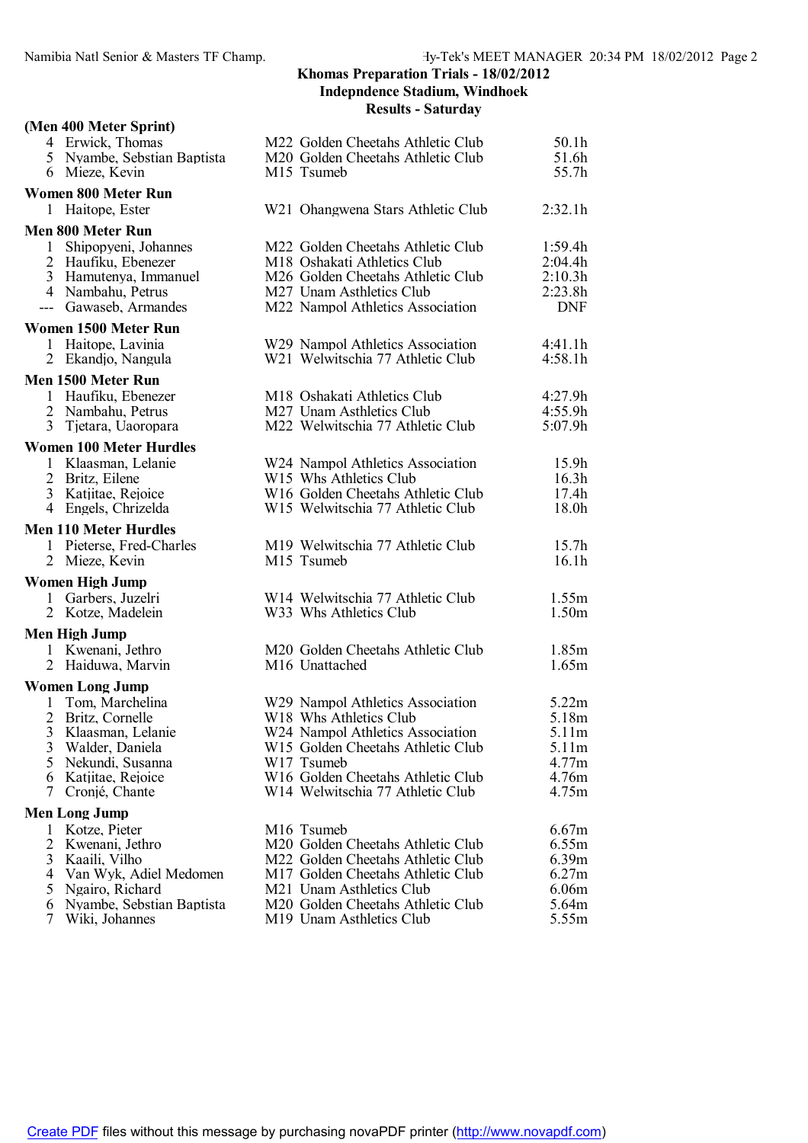## **Khomas Preparation Trials - 18/02/2012 Indepndence Stadium, Windhoek**

#### **Results - Saturday**

|              | (Men 400 Meter Sprint)                                            |                                                                                                  |                            |
|--------------|-------------------------------------------------------------------|--------------------------------------------------------------------------------------------------|----------------------------|
|              | 4 Erwick, Thomas<br>5 Nyambe, Sebstian Baptista<br>6 Mieze, Kevin | M22 Golden Cheetahs Athletic Club<br>M <sub>20</sub> Golden Cheetahs Athletic Club<br>M15 Tsumeb | 50.1h<br>51.6h<br>55.7h    |
|              | <b>Women 800 Meter Run</b>                                        |                                                                                                  |                            |
|              | 1 Haitope, Ester                                                  | W <sub>21</sub> Ohangwena Stars Athletic Club                                                    | 2:32.1h                    |
|              | <b>Men 800 Meter Run</b>                                          |                                                                                                  |                            |
|              | 1 Shipopyeni, Johannes                                            | M22 Golden Cheetahs Athletic Club                                                                | 1:59.4h                    |
|              | 2 Haufiku, Ebenezer                                               | M18 Oshakati Athletics Club                                                                      | 2:04.4h                    |
|              | 3 Hamutenya, Immanuel                                             | M26 Golden Cheetahs Athletic Club                                                                | 2:10.3h                    |
|              | 4 Nambahu, Petrus                                                 | M <sub>27</sub> Unam Asthletics Club                                                             | 2:23.8h                    |
|              | --- Gawaseb, Armandes                                             | M22 Nampol Athletics Association                                                                 | <b>DNF</b>                 |
|              | Women 1500 Meter Run                                              |                                                                                                  |                            |
|              | 1 Haitope, Lavinia                                                | W29 Nampol Athletics Association                                                                 | 4:41.1h                    |
|              | 2 Ekandjo, Nangula                                                | W21 Welwitschia 77 Athletic Club                                                                 | 4:58.1h                    |
|              | Men 1500 Meter Run                                                |                                                                                                  |                            |
|              | 1 Haufiku, Ebenezer                                               | M18 Oshakati Athletics Club                                                                      | 4:27.9h                    |
|              | 2 Nambahu, Petrus                                                 | M27 Unam Asthletics Club                                                                         | 4:55.9h                    |
|              | 3 Tjetara, Uaoropara                                              | M22 Welwitschia 77 Athletic Club                                                                 | 5:07.9h                    |
|              | <b>Women 100 Meter Hurdles</b>                                    |                                                                                                  |                            |
|              | 1 Klaasman, Lelanie                                               | W24 Nampol Athletics Association                                                                 | 15.9h                      |
|              | 2 Britz, Eilene                                                   | W <sub>15</sub> Whs Athletics Club                                                               | 16.3h                      |
|              | 3 Katiitae, Rejoice<br>4 Engels, Chrizelda                        | W16 Golden Cheetahs Athletic Club<br>W15 Welwitschia 77 Athletic Club                            | 17.4h<br>18.0h             |
|              |                                                                   |                                                                                                  |                            |
|              | <b>Men 110 Meter Hurdles</b>                                      |                                                                                                  |                            |
|              | 1 Pieterse, Fred-Charles                                          | M19 Welwitschia 77 Athletic Club<br>M15 Tsumeb                                                   | 15.7 <sub>h</sub><br>16.1h |
|              | 2 Mieze, Kevin                                                    |                                                                                                  |                            |
|              | <b>Women High Jump</b>                                            |                                                                                                  |                            |
|              | 1 Garbers, Juzelri                                                | W14 Welwitschia 77 Athletic Club                                                                 | 1.55m                      |
|              | 2 Kotze, Madelein                                                 | W33 Whs Athletics Club                                                                           | 1.50m                      |
|              | Men High Jump                                                     |                                                                                                  |                            |
|              | 1 Kwenani, Jethro                                                 | M20 Golden Cheetahs Athletic Club                                                                | 1.85m                      |
|              | 2 Haiduwa, Marvin                                                 | M16 Unattached                                                                                   | 1.65m                      |
|              | <b>Women Long Jump</b>                                            |                                                                                                  |                            |
| $\mathbf{1}$ | Tom, Marchelina                                                   | W29 Nampol Athletics Association                                                                 | 5.22m                      |
|              | 2 Britz, Cornelle                                                 | W18 Whs Athletics Club                                                                           | 5.18m                      |
| 3<br>3       | Klaasman, Lelanie<br>Walder, Daniela                              | W24 Nampol Athletics Association<br>W15 Golden Cheetahs Athletic Club                            | 5.11m<br>5.11m             |
| 5            | Nekundi, Susanna                                                  | W17 Tsumeb                                                                                       | 4.77m                      |
|              | 6 Katjitae, Rejoice                                               | W16 Golden Cheetahs Athletic Club                                                                | 4.76m                      |
| 7            | Cronjé, Chante                                                    | W14 Welwitschia 77 Athletic Club                                                                 | 4.75m                      |
|              | <b>Men Long Jump</b>                                              |                                                                                                  |                            |
| 1            | Kotze, Pieter                                                     | M <sub>16</sub> Tsumeb                                                                           | 6.67m                      |
| 2            | Kwenani, Jethro                                                   | M20 Golden Cheetahs Athletic Club                                                                | 6.55m                      |
| 3            | Kaaili, Vilho                                                     | M22 Golden Cheetahs Athletic Club                                                                | 6.39m                      |
|              | 4 Van Wyk, Adiel Medomen                                          | M17 Golden Cheetahs Athletic Club                                                                | 6.27m                      |
|              | 5 Ngairo, Richard                                                 | M21 Unam Asthletics Club                                                                         | 6.06 <sub>m</sub>          |
| 6<br>7       | Nyambe, Sebstian Baptista                                         | M <sub>20</sub> Golden Cheetahs Athletic Club                                                    | 5.64m                      |
|              | Wiki, Johannes                                                    | M19 Unam Asthletics Club                                                                         | 5.55m                      |